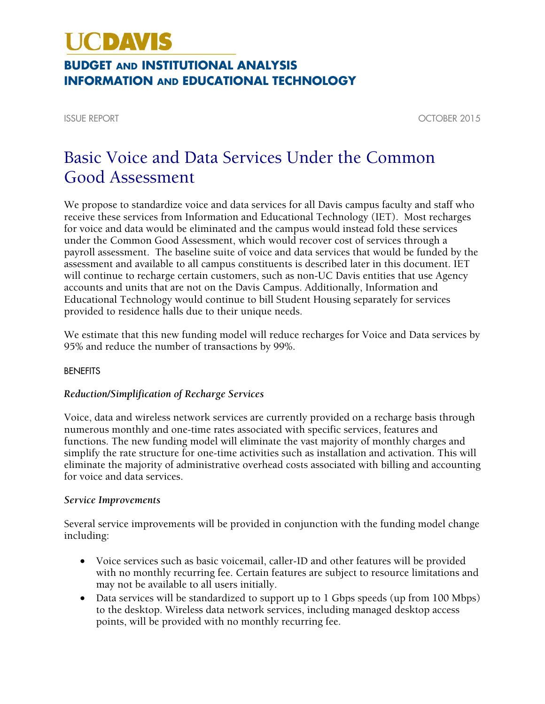# **UCDAVIS**

### **BUDGET AND INSTITUTIONAL ANALYSIS INFORMATION AND EDUCATIONAL TECHNOLOGY**

ISSUE REPORT OCTOBER 2015

## Basic Voice and Data Services Under the Common Good Assessment

We propose to standardize voice and data services for all Davis campus faculty and staff who receive these services from Information and Educational Technology (IET). Most recharges for voice and data would be eliminated and the campus would instead fold these services under the Common Good Assessment, which would recover cost of services through a payroll assessment. The baseline suite of voice and data services that would be funded by the assessment and available to all campus constituents is described later in this document. IET will continue to recharge certain customers, such as non-UC Davis entities that use Agency accounts and units that are not on the Davis Campus. Additionally, Information and Educational Technology would continue to bill Student Housing separately for services provided to residence halls due to their unique needs.

We estimate that this new funding model will reduce recharges for Voice and Data services by 95% and reduce the number of transactions by 99%.

#### BENEFITS

#### *Reduction/Simplification of Recharge Services*

Voice, data and wireless network services are currently provided on a recharge basis through numerous monthly and one-time rates associated with specific services, features and functions. The new funding model will eliminate the vast majority of monthly charges and simplify the rate structure for one-time activities such as installation and activation. This will eliminate the majority of administrative overhead costs associated with billing and accounting for voice and data services.

#### *Service Improvements*

Several service improvements will be provided in conjunction with the funding model change including:

- Voice services such as basic voicemail, caller-ID and other features will be provided with no monthly recurring fee. Certain features are subject to resource limitations and may not be available to all users initially.
- Data services will be standardized to support up to 1 Gbps speeds (up from 100 Mbps) to the desktop. Wireless data network services, including managed desktop access points, will be provided with no monthly recurring fee.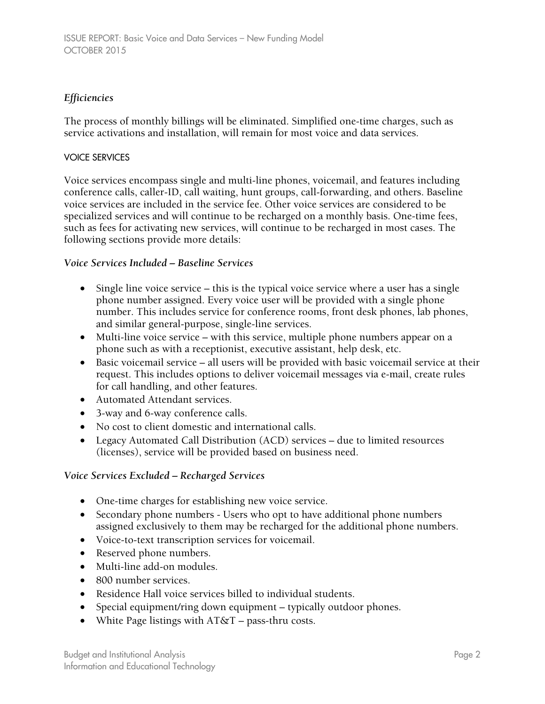#### *Efficiencies*

The process of monthly billings will be eliminated. Simplified one-time charges, such as service activations and installation, will remain for most voice and data services.

#### VOICE SERVICES

Voice services encompass single and multi-line phones, voicemail, and features including conference calls, caller-ID, call waiting, hunt groups, call-forwarding, and others. Baseline voice services are included in the service fee. Other voice services are considered to be specialized services and will continue to be recharged on a monthly basis. One-time fees, such as fees for activating new services, will continue to be recharged in most cases. The following sections provide more details:

#### *Voice Services Included – Baseline Services*

- Single line voice service this is the typical voice service where a user has a single phone number assigned. Every voice user will be provided with a single phone number. This includes service for conference rooms, front desk phones, lab phones, and similar general-purpose, single-line services.
- Multi-line voice service with this service, multiple phone numbers appear on a phone such as with a receptionist, executive assistant, help desk, etc.
- Basic voicemail service all users will be provided with basic voicemail service at their request. This includes options to deliver voicemail messages via e-mail, create rules for call handling, and other features.
- Automated Attendant services.
- 3-way and 6-way conference calls.
- No cost to client domestic and international calls.
- Legacy Automated Call Distribution (ACD) services due to limited resources (licenses), service will be provided based on business need.

#### *Voice Services Excluded – Recharged Services*

- One-time charges for establishing new voice service.
- Secondary phone numbers Users who opt to have additional phone numbers assigned exclusively to them may be recharged for the additional phone numbers.
- Voice-to-text transcription services for voicemail.
- Reserved phone numbers.
- Multi-line add-on modules.
- 800 number services.
- Residence Hall voice services billed to individual students.
- Special equipment/ring down equipment typically outdoor phones.
- White Page listings with  $AT&T$  pass-thru costs.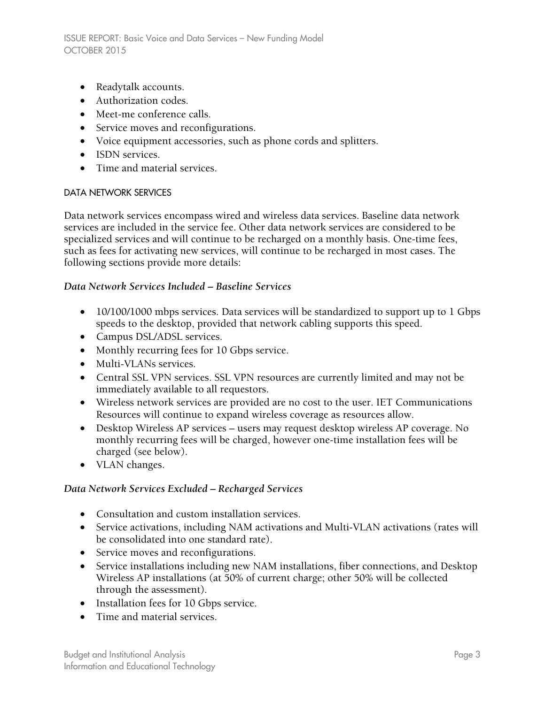- Readytalk accounts.
- Authorization codes.
- Meet-me conference calls.
- Service moves and reconfigurations.
- Voice equipment accessories, such as phone cords and splitters.
- ISDN services.
- Time and material services.

#### DATA NETWORK SERVICES

Data network services encompass wired and wireless data services. Baseline data network services are included in the service fee. Other data network services are considered to be specialized services and will continue to be recharged on a monthly basis. One-time fees, such as fees for activating new services, will continue to be recharged in most cases. The following sections provide more details:

#### *Data Network Services Included – Baseline Services*

- 10/100/1000 mbps services. Data services will be standardized to support up to 1 Gbps speeds to the desktop, provided that network cabling supports this speed.
- Campus DSL/ADSL services.
- Monthly recurring fees for 10 Gbps service.
- Multi-VLANs services.
- Central SSL VPN services. SSL VPN resources are currently limited and may not be immediately available to all requestors.
- Wireless network services are provided are no cost to the user. IET Communications Resources will continue to expand wireless coverage as resources allow.
- Desktop Wireless AP services users may request desktop wireless AP coverage. No monthly recurring fees will be charged, however one-time installation fees will be charged (see below).
- VLAN changes.

#### *Data Network Services Excluded – Recharged Services*

- Consultation and custom installation services.
- Service activations, including NAM activations and Multi-VLAN activations (rates will be consolidated into one standard rate).
- Service moves and reconfigurations.
- Service installations including new NAM installations, fiber connections, and Desktop Wireless AP installations (at 50% of current charge; other 50% will be collected through the assessment).
- Installation fees for 10 Gbps service.
- Time and material services.